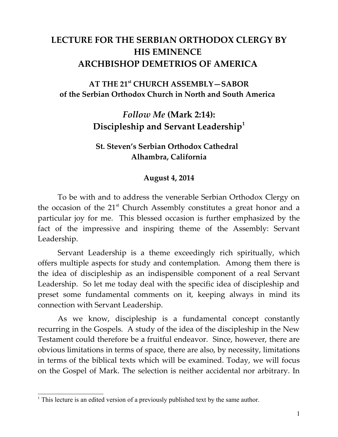# **LECTURE FOR THE SERBIAN ORTHODOX CLERGY BY HIS EMINENCE ARCHBISHOP DEMETRIOS OF AMERICA**

## **AT THE 21st CHURCH ASSEMBLY—SABOR of the Serbian Orthodox Church in North and South America**

# *Follow Me* **(Mark 2:14): Discipleship and Servant Leadership[1](#page-0-0)**

## **St. Steven's Serbian Orthodox Cathedral Alhambra, California**

### **August 4, 2014**

To be with and to address the venerable Serbian Orthodox Clergy on the occasion of the 21<sup>st</sup> Church Assembly constitutes a great honor and a particular joy for me. This blessed occasion is further emphasized by the fact of the impressive and inspiring theme of the Assembly: Servant Leadership.

Servant Leadership is a theme exceedingly rich spiritually, which offers multiple aspects for study and contemplation. Among them there is the idea of discipleship as an indispensible component of a real Servant Leadership. So let me today deal with the specific idea of discipleship and preset some fundamental comments on it, keeping always in mind its connection with Servant Leadership.

As we know, discipleship is a fundamental concept constantly recurring in the Gospels. A study of the idea of the discipleship in the New Testament could therefore be a fruitful endeavor. Since, however, there are obvious limitations in terms of space, there are also, by necessity, limitations in terms of the biblical texts which will be examined. Today, we will focus on the Gospel of Mark. The selection is neither accidental nor arbitrary. In

<span id="page-0-0"></span><sup>&</sup>lt;sup>1</sup> This lecture is an edited version of a previously published text by the same author.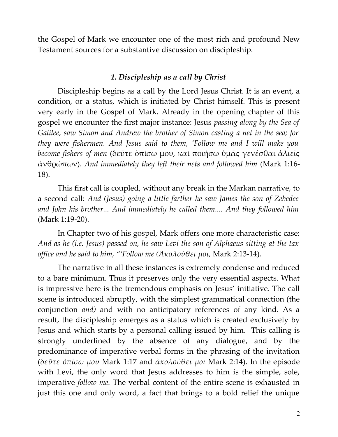the Gospel of Mark we encounter one of the most rich and profound New Testament sources for a substantive discussion on discipleship.

#### *1. Discipleship as a call by Christ*

Discipleship begins as a call by the Lord Jesus Christ. It is an event, a condition, or a status, which is initiated by Christ himself. This is present very early in the Gospel of Mark. Already in the opening chapter of this gospel we encounter the first major instance: Jesus *passing along by the Sea of Galilee, saw Simon and Andrew the brother of Simon casting a net in the sea; for they were fishermen. And Jesus said to them, 'Follow me and I will make you become fishers of men* (δεῦτε ὀπίσω μου, καὶ ποιήσω ὑμᾶς γενέσθαι ἁλιεῖς ἀνθρώπων). *And immediately they left their nets and followed him* (Mark 1:16- 18).

This first call is coupled, without any break in the Markan narrative, to a second call: *And (Jesus) going a little farther he saw James the son of Zebedee and John his brother... And immediately he called them.... And they followed him* (Mark 1:19-20).

In Chapter two of his gospel, Mark offers one more characteristic case: *And as he (i.e. Jesus) passed on, he saw Levi the son of Alphaeus sitting at the tax office and he said to him, "'Follow me (Ἀκολούθει μοι,* Mark 2:13-14).

The narrative in all these instances is extremely condense and reduced to a bare minimum. Thus it preserves only the very essential aspects. What is impressive here is the tremendous emphasis on Jesus' initiative. The call scene is introduced abruptly, with the simplest grammatical connection (the conjunction *and)* and with no anticipatory references of any kind. As a result, the discipleship emerges as a status which is created exclusively by Jesus and which starts by a personal calling issued by him. This calling is strongly underlined by the absence of any dialogue, and by the predominance of imperative verbal forms in the phrasing of the invitation (*δεῦτε ὀπίσω μου* Mark 1:17 and *ἀκολούθει μοι* Mark 2:14). In the episode with Levi, the only word that Jesus addresses to him is the simple, sole, imperative *follow me.* The verbal content of the entire scene is exhausted in just this one and only word, a fact that brings to a bold relief the unique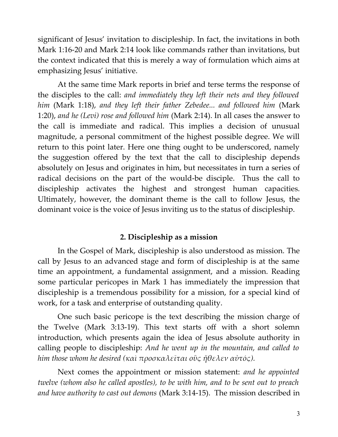significant of Jesus' invitation to discipleship. In fact, the invitations in both Mark 1:16-20 and Mark 2:14 look like commands rather than invitations, but the context indicated that this is merely a way of formulation which aims at emphasizing Jesus' initiative.

At the same time Mark reports in brief and terse terms the response of the disciples to the call: *and immediately they left their nets and they followed him* (Mark 1:18), *and they left their father Zebedee... and followed him* (Mark 1:20), *and he (Levi) rose and followed him* (Mark 2:14). In all cases the answer to the call is immediate and radical. This implies a decision of unusual magnitude, a personal commitment of the highest possible degree. We will return to this point later. Here one thing ought to be underscored, namely the suggestion offered by the text that the call to discipleship depends absolutely on Jesus and originates in him, but necessitates in turn a series of radical decisions on the part of the would-be disciple. Thus the call to discipleship activates the highest and strongest human capacities. Ultimately, however, the dominant theme is the call to follow Jesus, the dominant voice is the voice of Jesus inviting us to the status of discipleship.

## **2. Discipleship as a mission**

In the Gospel of Mark, discipleship is also understood as mission. The call by Jesus to an advanced stage and form of discipleship is at the same time an appointment, a fundamental assignment, and a mission. Reading some particular pericopes in Mark 1 has immediately the impression that discipleship is a tremendous possibility for a mission, for a special kind of work, for a task and enterprise of outstanding quality.

One such basic pericope is the text describing the mission charge of the Twelve (Mark 3:13-19). This text starts off with a short solemn introduction, which presents again the idea of Jesus absolute authority in calling people to discipleship: *And he went up in the mountain, and called to him those whom he desired (καὶ προσκαλεῖται οὓς ἤθελεν αὐτός).*

Next comes the appointment or mission statement: *and he appointed twelve (whom also he called apostles), to be with him, and to be sent out to preach and have authority to cast out demons* (Mark 3:14-15). The mission described in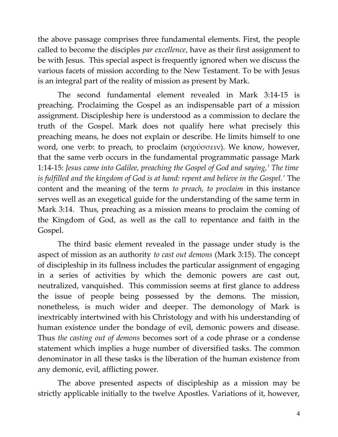the above passage comprises three fundamental elements. First, the people called to become the disciples *par excellence*, have as their first assignment to be with Jesus. This special aspect is frequently ignored when we discuss the various facets of mission according to the New Testament. To be with Jesus is an integral part of the reality of mission as present by Mark.

The second fundamental element revealed in Mark 3:14-15 is preaching. Proclaiming the Gospel as an indispensable part of a mission assignment. Discipleship here is understood as a commission to declare the truth of the Gospel. Mark does not qualify here what precisely this preaching means, he does not explain or describe. He limits himself to one word, one verb: to preach, to proclaim (κηρύσσειν). We know, however, that the same verb occurs in the fundamental programmatic passage Mark 1:14-15: *Jesus came into Galilee, preaching the Gospel of God and saying,' The time is fulfilled and the kingdom of God is at hand: repent and believe in the Gospel.'* The content and the meaning of the term *to preach, to proclaim* in this instance serves well as an exegetical guide for the understanding of the same term in Mark 3:14. Thus, preaching as a mission means to proclaim the coming of the Kingdom of God, as well as the call to repentance and faith in the Gospel.

The third basic element revealed in the passage under study is the aspect of mission as an authority *to cast out demons* (Mark 3:15). The concept of discipleship in its fullness includes the particular assignment of engaging in a series of activities by which the demonic powers are cast out, neutralized, vanquished. This commission seems at first glance to address the issue of people being possessed by the demons. The mission, nonetheless, is much wider and deeper. The demonology of Mark is inextricably intertwined with his Christology and with his understanding of human existence under the bondage of evil, demonic powers and disease. Thus *the casting out of demons* becomes sort of a code phrase or a condense statement which implies a huge number of diversified tasks. The common denominator in all these tasks is the liberation of the human existence from any demonic, evil, afflicting power.

The above presented aspects of discipleship as a mission may be strictly applicable initially to the twelve Apostles. Variations of it, however,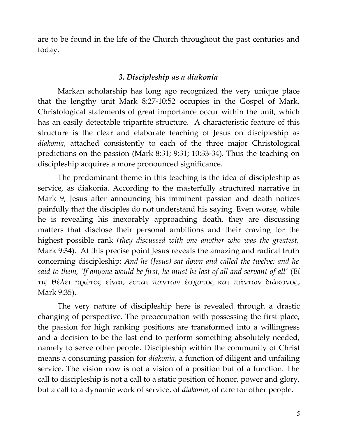are to be found in the life of the Church throughout the past centuries and today.

#### *3. Discipleship as a diakonia*

Markan scholarship has long ago recognized the very unique place that the lengthy unit Mark 8:27-10:52 occupies in the Gospel of Mark. Christological statements of great importance occur within the unit, which has an easily detectable tripartite structure. A characteristic feature of this structure is the clear and elaborate teaching of Jesus on discipleship as *diakonia*, attached consistently to each of the three major Christological predictions on the passion (Mark 8:31; 9:31; 10:33-34). Thus the teaching on discipleship acquires a more pronounced significance.

The predominant theme in this teaching is the idea of discipleship as service, as diakonia. According to the masterfully structured narrative in Mark 9, Jesus after announcing his imminent passion and death notices painfully that the disciples do not understand his saying. Even worse, while he is revealing his inexorably approaching death, they are discussing matters that disclose their personal ambitions and their craving for the highest possible rank *(they discussed with one another who was the greatest,* Mark 9:34). At this precise point Jesus reveals the amazing and radical truth concerning discipleship: *And he (Jesus) sat down and called the twelve; and he said to them, 'If anyone would be first, he must be last of all and servant of all'* (Εί τις θέλει πρώτος είναι, έσται πάντων έσχατος και πάντων διάκονος, Μark 9:35).

The very nature of discipleship here is revealed through a drastic changing of perspective. The preoccupation with possessing the first place, the passion for high ranking positions are transformed into a willingness and a decision to be the last end to perform something absolutely needed, namely to serve other people. Discipleship within the community of Christ means a consuming passion for *diakonia*, a function of diligent and unfailing service. The vision now is not a vision of a position but of a function. The call to discipleship is not a call to a static position of honor, power and glory, but a call to a dynamic work of service, of *diakonia*, of care for other people.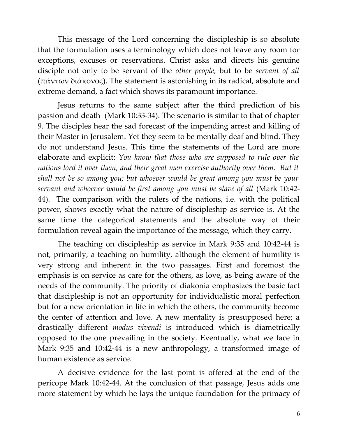This message of the Lord concerning the discipleship is so absolute that the formulation uses a terminology which does not leave any room for exceptions, excuses or reservations. Christ asks and directs his genuine disciple not only to be servant of the *other people,* but to be *servant of all* (πάντων διάκονος). The statement is astonishing in its radical, absolute and extreme demand, a fact which shows its paramount importance.

Jesus returns to the same subject after the third prediction of his passion and death (Mark 10:33-34). The scenario is similar to that of chapter 9. The disciples hear the sad forecast of the impending arrest and killing of their Master in Jerusalem. Yet they seem to be mentally deaf and blind. They do not understand Jesus. This time the statements of the Lord are more elaborate and explicit: *You know that those who are supposed to rule over the nations lord it over them, and their great men exercise authority over them. But it shall not be so among you; but whoever would be great among you must be your servant and whoever would be first among you must be slave of all* (Mark 10:42- 44). The comparison with the rulers of the nations, i.e. with the political power, shows exactly what the nature of discipleship as service is. At the same time the categorical statements and the absolute way of their formulation reveal again the importance of the message, which they carry.

The teaching on discipleship as service in Mark 9:35 and 10:42-44 is not, primarily, a teaching on humility, although the element of humility is very strong and inherent in the two passages. First and foremost the emphasis is on service as care for the others, as love, as being aware of the needs of the community. The priority of diakonia emphasizes the basic fact that discipleship is not an opportunity for individualistic moral perfection but for a new orientation in life in which the others, the community become the center of attention and love. A new mentality is presupposed here; a drastically different *modus vivendi* is introduced which is diametrically opposed to the one prevailing in the society. Eventually, what we face in Mark 9:35 and 10:42-44 is a new anthropology, a transformed image of human existence as service.

A decisive evidence for the last point is offered at the end of the pericope Mark 10:42-44. At the conclusion of that passage, Jesus adds one more statement by which he lays the unique foundation for the primacy of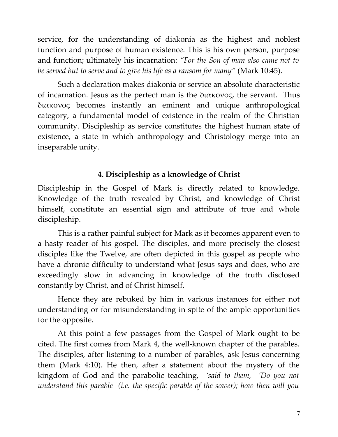service, for the understanding of diakonia as the highest and noblest function and purpose of human existence. This is his own person, purpose and function; ultimately his incarnation: *"For the Son of man also came not to be served but to serve and to give his life as a ransom for many"* (Mark 10:45).

Such a declaration makes diakonia or service an absolute characteristic of incarnation. Jesus as the perfect man is the διακονος, the servant. Thus διακονος becomes instantly an eminent and unique anthropological category, a fundamental model of existence in the realm of the Christian community. Discipleship as service constitutes the highest human state of existence, a state in which anthropology and Christology merge into an inseparable unity.

## **4. Discipleship as a knowledge of Christ**

Discipleship in the Gospel of Mark is directly related to knowledge. Knowledge of the truth revealed by Christ, and knowledge of Christ himself, constitute an essential sign and attribute of true and whole discipleship.

This is a rather painful subject for Mark as it becomes apparent even to a hasty reader of his gospel. The disciples, and more precisely the closest disciples like the Twelve, are often depicted in this gospel as people who have a chronic difficulty to understand what Jesus says and does, who are exceedingly slow in advancing in knowledge of the truth disclosed constantly by Christ, and of Christ himself.

Hence they are rebuked by him in various instances for either not understanding or for misunderstanding in spite of the ample opportunities for the opposite.

At this point a few passages from the Gospel of Mark ought to be cited. The first comes from Mark 4, the well-known chapter of the parables. The disciples, after listening to a number of parables, ask Jesus concerning them (Mark 4:10). He then, after a statement about the mystery of the kingdom of God and the parabolic teaching, *'said to them, 'Do you not understand this parable (i.e. the specific parable of the sower); how then will you*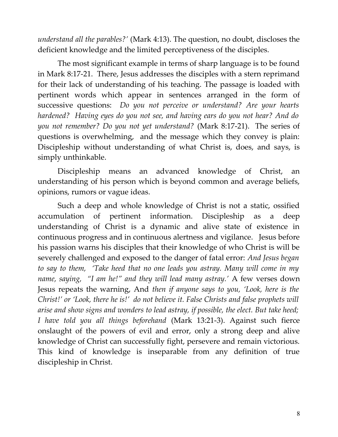*understand all the parables?'* (Mark 4:13). The question, no doubt, discloses the deficient knowledge and the limited perceptiveness of the disciples.

The most significant example in terms of sharp language is to be found in Mark 8:17-21. There, Jesus addresses the disciples with a stern reprimand for their lack of understanding of his teaching. The passage is loaded with pertinent words which appear in sentences arranged in the form of successive questions: *Do you not perceive or understand? Are your hearts hardened? Having eyes do you not see, and having ears do you not hear? And do you not remember? Do you not yet understand?* (Mark 8:17-21). The series of questions is overwhelming, and the message which they convey is plain: Discipleship without understanding of what Christ is, does, and says, is simply unthinkable.

Discipleship means an advanced knowledge of Christ, an understanding of his person which is beyond common and average beliefs, opinions, rumors or vague ideas.

Such a deep and whole knowledge of Christ is not a static, ossified accumulation of pertinent information. Discipleship as a deep understanding of Christ is a dynamic and alive state of existence in continuous progress and in continuous alertness and vigilance. Jesus before his passion warns his disciples that their knowledge of who Christ is will be severely challenged and exposed to the danger of fatal error: *And Jesus began to say to them, 'Take heed that no one leads you astray. Many will come in my name, saying, "I am he!" and they will lead many astray.'* A few verses down Jesus repeats the warning, And *then if anyone says to you, 'Look, here is the Christ!' or 'Look, there he is!' do not believe it. False Christs and false prophets will arise and show signs and wonders to lead astray, if possible, the elect. But take heed; I have told you all things beforehand* (Mark 13:21-3). Against such fierce onslaught of the powers of evil and error, only a strong deep and alive knowledge of Christ can successfully fight, persevere and remain victorious. This kind of knowledge is inseparable from any definition of true discipleship in Christ.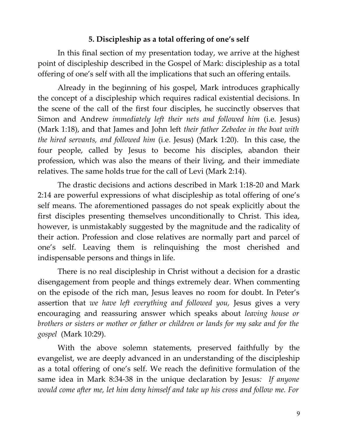### **5. Discipleship as a total offering of one's self**

In this final section of my presentation today, we arrive at the highest point of discipleship described in the Gospel of Mark: discipleship as a total offering of one's self with all the implications that such an offering entails.

Already in the beginning of his gospel, Mark introduces graphically the concept of a discipleship which requires radical existential decisions. In the scene of the call of the first four disciples, he succinctly observes that Simon and Andrew *immediately left their nets and followed him* (i.e. Jesus) (Mark 1:18), and that James and John left *their father Zebedee in the boat with the hired servants, and followed him* (i.e. Jesus) (Mark 1:20). In this case, the four people, called by Jesus to become his disciples, abandon their profession, which was also the means of their living, and their immediate relatives. The same holds true for the call of Levi (Mark 2:14).

The drastic decisions and actions described in Mark 1:18-20 and Mark 2:14 are powerful expressions of what discipleship as total offering of one's self means. The aforementioned passages do not speak explicitly about the first disciples presenting themselves unconditionally to Christ. This idea, however, is unmistakably suggested by the magnitude and the radicality of their action. Profession and close relatives are normally part and parcel of one's self. Leaving them is relinquishing the most cherished and indispensable persons and things in life.

There is no real discipleship in Christ without a decision for a drastic disengagement from people and things extremely dear. When commenting on the episode of the rich man, Jesus leaves no room for doubt. In Peter's assertion that *we have left everything and followed you,* Jesus gives a very encouraging and reassuring answer which speaks about *leaving house or brothers or sisters or mother or father or children or lands for my sake and for the gospel* (Mark 10:29).

With the above solemn statements, preserved faithfully by the evangelist, we are deeply advanced in an understanding of the discipleship as a total offering of one's self. We reach the definitive formulation of the same idea in Mark 8:34-38 in the unique declaration by Jesus*: If anyone would come after me, let him deny himself and take up his cross and follow me. For*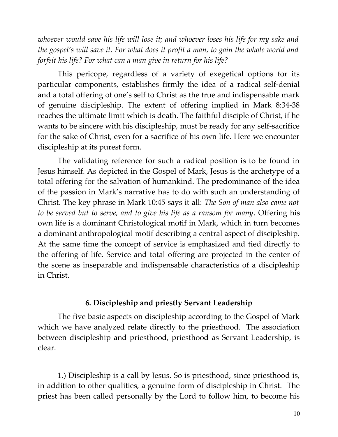*whoever would save his life will lose it; and whoever loses his life for my sake and the gospel's will save it. For what does it profit a man, to gain the whole world and forfeit his life? For what can a man give in return for his life?*

This pericope, regardless of a variety of exegetical options for its particular components, establishes firmly the idea of a radical self-denial and a total offering of one's self to Christ as the true and indispensable mark of genuine discipleship. The extent of offering implied in Mark 8:34-38 reaches the ultimate limit which is death. The faithful disciple of Christ, if he wants to be sincere with his discipleship, must be ready for any self-sacrifice for the sake of Christ, even for a sacrifice of his own life. Here we encounter discipleship at its purest form.

The validating reference for such a radical position is to be found in Jesus himself. As depicted in the Gospel of Mark, Jesus is the archetype of a total offering for the salvation of humankind. The predominance of the idea of the passion in Mark's narrative has to do with such an understanding of Christ. The key phrase in Mark 10:45 says it all: *The Son of man also came not to be served but to serve, and to give his life as a ransom for many*. Offering his own life is a dominant Christological motif in Mark, which in turn becomes a dominant anthropological motif describing a central aspect of discipleship. At the same time the concept of service is emphasized and tied directly to the offering of life. Service and total offering are projected in the center of the scene as inseparable and indispensable characteristics of a discipleship in Christ.

#### **6. Discipleship and priestly Servant Leadership**

The five basic aspects on discipleship according to the Gospel of Mark which we have analyzed relate directly to the priesthood. The association between discipleship and priesthood, priesthood as Servant Leadership, is clear.

1.) Discipleship is a call by Jesus. So is priesthood, since priesthood is, in addition to other qualities, a genuine form of discipleship in Christ. The priest has been called personally by the Lord to follow him, to become his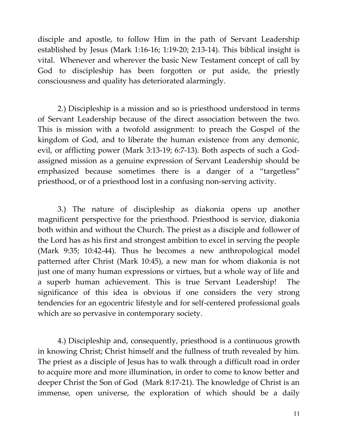disciple and apostle, to follow Him in the path of Servant Leadership established by Jesus (Mark 1:16-16; 1:19-20; 2:13-14). This biblical insight is vital. Whenever and wherever the basic New Testament concept of call by God to discipleship has been forgotten or put aside, the priestly consciousness and quality has deteriorated alarmingly.

2.) Discipleship is a mission and so is priesthood understood in terms of Servant Leadership because of the direct association between the two. This is mission with a twofold assignment: to preach the Gospel of the kingdom of God, and to liberate the human existence from any demonic, evil, or afflicting power (Mark 3:13-19; 6:7-13). Both aspects of such a Godassigned mission as a genuine expression of Servant Leadership should be emphasized because sometimes there is a danger of a "targetless" priesthood, or of a priesthood lost in a confusing non-serving activity.

3.) The nature of discipleship as diakonia opens up another magnificent perspective for the priesthood. Priesthood is service, diakonia both within and without the Church. The priest as a disciple and follower of the Lord has as his first and strongest ambition to excel in serving the people (Mark 9:35; 10:42-44). Thus he becomes a new anthropological model patterned after Christ (Mark 10:45), a new man for whom diakonia is not just one of many human expressions or virtues, but a whole way of life and a superb human achievement. This is true Servant Leadership! The significance of this idea is obvious if one considers the very strong tendencies for an egocentric lifestyle and for self-centered professional goals which are so pervasive in contemporary society.

4.) Discipleship and, consequently, priesthood is a continuous growth in knowing Christ; Christ himself and the fullness of truth revealed by him. The priest as a disciple of Jesus has to walk through a difficult road in order to acquire more and more illumination, in order to come to know better and deeper Christ the Son of God (Mark 8:17-21). The knowledge of Christ is an immense, open universe, the exploration of which should be a daily